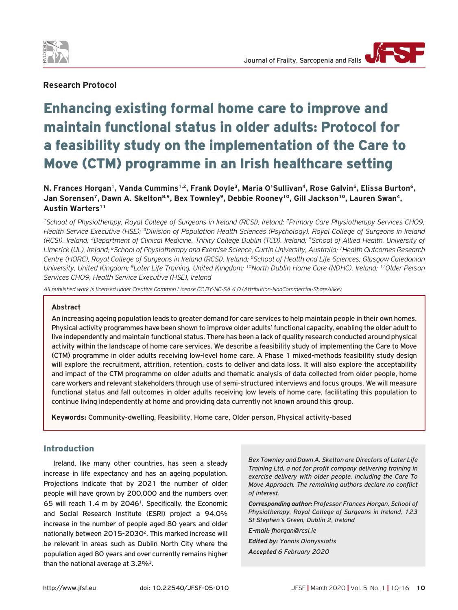

# **Research Protocol**

# Enhancing existing formal home care to improve and maintain functional status in older adults: Protocol for a feasibility study on the implementation of the Care to Move (CTM) programme in an Irish healthcare setting

**N. Frances Horgan1, Vanda Cummins1,2, Frank Doyle3, Maria O'Sullivan4, Rose Galvin5, Elissa Burton6,**  Jan Sorensen<sup>7</sup>, Dawn A. Skelton<sup>8,9</sup>, Bex Townley<sup>9</sup>, Debbie Rooney<sup>10</sup>, Gill Jackson<sup>10</sup>, Lauren Swan<sup>4</sup>, Austin Warters<sup>11</sup>

*1School of Physiotherapy, Royal College of Surgeons in Ireland (RCSI), Ireland; 2Primary Care Physiotherapy Services CHO9, Health Service Executive (HSE); 3Division of Population Health Sciences (Psychology), Royal College of Surgeons in Ireland (RCSI), Ireland; 4Department of Clinical Medicine, Trinity College Dublin (TCD), Ireland; 5School of Allied Health, University of Limerick (UL), Ireland; 6School of Physiotherapy and Exercise Science, Curtin University, Australia; 7Health Outcomes Research Centre (HORC), Royal College of Surgeons in Ireland (RCSI), Ireland; 8School of Health and Life Sciences, Glasgow Caledonian University, United Kingdom; 9Later Life Training, United Kingdom; 10North Dublin Home Care (NDHC), Ireland; 11Older Person Services CHO9, Health Service Executive (HSE), Ireland*

*All published work is licensed under Creative Common License CC BY-NC-SA 4.0 (Attribution-NonCommercial-ShareAlike)*

#### **Abstract**

An increasing ageing population leads to greater demand for care services to help maintain people in their own homes. Physical activity programmes have been shown to improve older adults' functional capacity, enabling the older adult to live independently and maintain functional status. There has been a lack of quality research conducted around physical activity within the landscape of home care services. We describe a feasibility study of implementing the Care to Move (CTM) programme in older adults receiving low-level home care. A Phase 1 mixed-methods feasibility study design will explore the recruitment, attrition, retention, costs to deliver and data loss. It will also explore the acceptability and impact of the CTM programme on older adults and thematic analysis of data collected from older people, home care workers and relevant stakeholders through use of semi-structured interviews and focus groups. We will measure functional status and fall outcomes in older adults receiving low levels of home care, facilitating this population to continue living independently at home and providing data currently not known around this group.

**Keywords:** Community-dwelling, Feasibility, Home care, Older person, Physical activity-based

#### Introduction

Ireland, like many other countries, has seen a steady increase in life expectancy and has an ageing population. Projections indicate that by 2021 the number of older people will have grown by 200,000 and the numbers over 65 will reach 1.4 m by 2046<sup>1</sup>. Specifically, the Economic and Social Research Institute (ESRI) project a 94.0% increase in the number of people aged 80 years and older nationally between 2015-2030<sup>2</sup>. This marked increase will be relevant in areas such as Dublin North City where the population aged 80 years and over currently remains higher than the national average at  $3.2\%$ <sup>3</sup>.

*Bex Townley and Dawn A. Skelton are Directors of Later Life Training Ltd, a not for profit company delivering training in exercise delivery with older people, including the Care To Move Approach. The remaining authors declare no conflict of interest.*

*Corresponding author: Professor Frances Horgan, School of Physiotherapy, Royal College of Surgeons in Ireland, 123 St Stephen's Green, Dublin 2, Ireland*

*E-mail: fhorgan@rcsi.ie Edited by: Yannis Dionyssiotis Accepted 6 February 2020*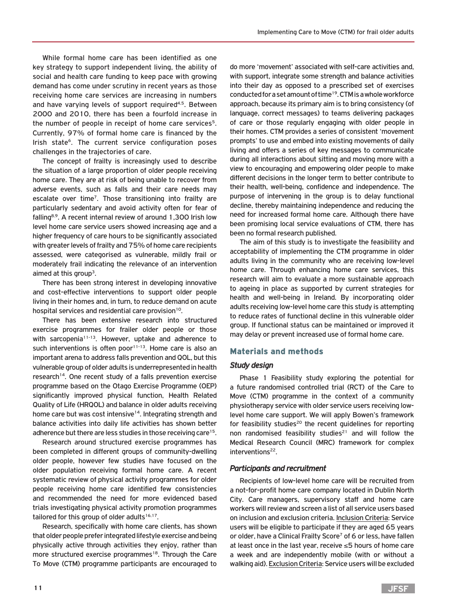While formal home care has been identified as one key strategy to support independent living, the ability of social and health care funding to keep pace with growing demand has come under scrutiny in recent years as those receiving home care services are increasing in numbers and have varying levels of support required<sup>4,5</sup>. Between 2000 and 2010, there has been a fourfold increase in the number of people in receipt of home care services<sup>5</sup>. Currently, 97% of formal home care is financed by the Irish state<sup>6</sup>. The current service configuration poses challenges in the trajectories of care.

The concept of frailty is increasingly used to describe the situation of a large proportion of older people receiving home care. They are at risk of being unable to recover from adverse events, such as falls and their care needs may escalate over time<sup>7</sup>. Those transitioning into frailty are particularly sedentary and avoid activity often for fear of falling8,9. A recent internal review of around 1,300 Irish low level home care service users showed increasing age and a higher frequency of care hours to be significantly associated with greater levels of frailty and 75% of home care recipients assessed, were categorised as vulnerable, mildly frail or moderately frail indicating the relevance of an intervention aimed at this group<sup>3</sup>.

There has been strong interest in developing innovative and cost-effective interventions to support older people living in their homes and, in turn, to reduce demand on acute hospital services and residential care provision<sup>10</sup>.

There has been extensive research into structured exercise programmes for frailer older people or those with sarcopenia<sup>11-13</sup>. However, uptake and adherence to such interventions is often poor $11-13$ . Home care is also an important arena to address falls prevention and QOL, but this vulnerable group of older adults is underrepresented in health research<sup>14</sup>. One recent study of a falls prevention exercise programme based on the Otago Exercise Programme (OEP) significantly improved physical function, Health Related Quality of Life (HRQOL) and balance in older adults receiving home care but was cost intensive<sup>14</sup>. Integrating strength and balance activities into daily life activities has shown better adherence but there are less studies in those receiving care<sup>15</sup>.

Research around structured exercise programmes has been completed in different groups of community-dwelling older people, however few studies have focused on the older population receiving formal home care. A recent systematic review of physical activity programmes for older people receiving home care identified few consistencies and recommended the need for more evidenced based trials investigating physical activity promotion programmes tailored for this group of older adults $16,17$ .

Research, specifically with home care clients, has shown that older people prefer integrated lifestyle exercise and being physically active through activities they enjoy, rather than more structured exercise programmes<sup>18</sup>. Through the Care To Move (CTM) programme participants are encouraged to

do more 'movement' associated with self-care activities and, with support, integrate some strength and balance activities into their day as opposed to a prescribed set of exercises conducted for a set amount of time<sup>19</sup>. CTM is a whole workforce approach, because its primary aim is to bring consistency (of language, correct messages) to teams delivering packages of care or those regularly engaging with older people in their homes. CTM provides a series of consistent 'movement prompts' to use and embed into existing movements of daily living and offers a series of key messages to communicate during all interactions about sitting and moving more with a view to encouraging and empowering older people to make different decisions in the longer term to better contribute to their health, well-being, confidence and independence. The purpose of intervening in the group is to delay functional decline, thereby maintaining independence and reducing the need for increased formal home care. Although there have been promising local service evaluations of CTM, there has been no formal research published.

The aim of this study is to investigate the feasibility and acceptability of implementing the CTM programme in older adults living in the community who are receiving low-level home care. Through enhancing home care services, this research will aim to evaluate a more sustainable approach to ageing in place as supported by current strategies for health and well-being in Ireland. By incorporating older adults receiving low-level home care this study is attempting to reduce rates of functional decline in this vulnerable older group. If functional status can be maintained or improved it may delay or prevent increased use of formal home care.

#### Materials and methods

#### *Study design*

Phase 1 Feasibility study exploring the potential for a future randomised controlled trial (RCT) of the Care to Move (CTM) programme in the context of a community physiotherapy service with older service users receiving lowlevel home care support. We will apply Bowen's framework for feasibility studies<sup>20</sup> the recent guidelines for reporting non randomised feasibility studies<sup>21</sup> and will follow the Medical Research Council (MRC) framework for complex interventions<sup>22</sup>.

#### *Participants and recruitment*

Recipients of low-level home care will be recruited from a not-for-profit home care company located in Dublin North City. Care managers, supervisory staff and home care workers will review and screen a list of all service users based on inclusion and exclusion criteria. Inclusion Criteria: Service users will be eligible to participate if they are aged 65 years or older, have a Clinical Frailty Score<sup>7</sup> of 6 or less, have fallen at least once in the last year, receive ≤5 hours of home care a week and are independently mobile (with or without a walking aid). Exclusion Criteria: Service users will be excluded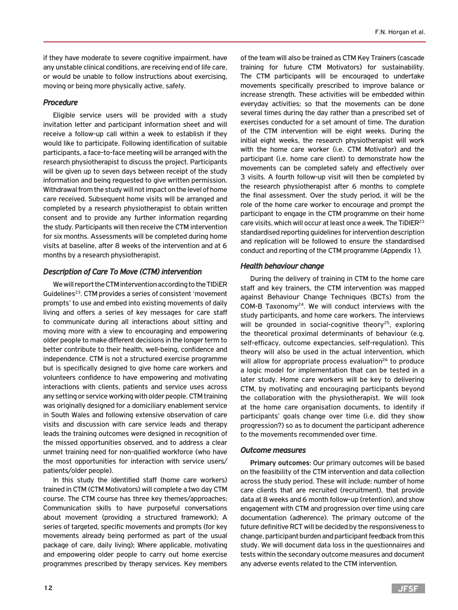if they have moderate to severe cognitive impairment, have any unstable clinical conditions, are receiving end of life care, or would be unable to follow instructions about exercising, moving or being more physically active, safely.

#### *Procedure*

Eligible service users will be provided with a study invitation letter and participant information sheet and will receive a follow-up call within a week to establish if they would like to participate. Following identification of suitable participants, a face-to-face meeting will be arranged with the research physiotherapist to discuss the project. Participants will be given up to seven days between receipt of the study information and being requested to give written permission. Withdrawal from the study will not impact on the level of home care received. Subsequent home visits will be arranged and completed by a research physiotherapist to obtain written consent and to provide any further information regarding the study. Participants will then receive the CTM intervention for six months. Assessments will be completed during home visits at baseline, after 8 weeks of the intervention and at 6 months by a research physiotherapist.

#### *Description of Care To Move (CTM) intervention*

We will report the CTM intervention according to the TIDiER Guidelines<sup>23</sup>. CTM provides a series of consistent 'movement prompts' to use and embed into existing movements of daily living and offers a series of key messages for care staff to communicate during all interactions about sitting and moving more with a view to encouraging and empowering older people to make different decisions in the longer term to better contribute to their health, well-being, confidence and independence. CTM is not a structured exercise programme but is specifically designed to give home care workers and volunteers confidence to have empowering and motivating interactions with clients, patients and service uses across any setting or service working with older people. CTM training was originally designed for a domiciliary enablement service in South Wales and following extensive observation of care visits and discussion with care service leads and therapy leads the training outcomes were designed in recognition of the missed opportunities observed, and to address a clear unmet training need for non-qualified workforce (who have the most opportunities for interaction with service users/ patients/older people).

In this study the identified staff (home care workers) trained in CTM (CTM Motivators) will complete a two day CTM course. The CTM course has three key themes/approaches; Communication skills to have purposeful conversations about movement (providing a structured framework); A series of targeted, specific movements and prompts (for key movements already being performed as part of the usual package of care, daily living); Where applicable, motivating and empowering older people to carry out home exercise programmes prescribed by therapy services. Key members

of the team will also be trained as CTM Key Trainers (cascade training for future CTM Motivators) for sustainability. The CTM participants will be encouraged to undertake movements specifically prescribed to improve balance or increase strength. These activities will be embedded within everyday activities; so that the movements can be done several times during the day rather than a prescribed set of exercises conducted for a set amount of time. The duration of the CTM intervention will be eight weeks. During the initial eight weeks, the research physiotherapist will work with the home care worker (i.e. CTM Motivator) and the participant (i.e. home care client) to demonstrate how the movements can be completed safely and effectively over 3 visits. A fourth follow-up visit will then be completed by the research physiotherapist after 6 months to complete the final assessment. Over the study period, it will be the role of the home care worker to encourage and prompt the participant to engage in the CTM programme on their home care visits, which will occur at least once a week. The TiDIER23 standardised reporting guidelines for intervention description and replication will be followed to ensure the standardised conduct and reporting of the CTM programme (Appendix 1).

#### *Health behaviour change*

During the delivery of training in CTM to the home care staff and key trainers, the CTM intervention was mapped against Behaviour Change Techniques (BCTs) from the COM-B Taxonomy24. We will conduct interviews with the study participants, and home care workers. The interviews will be grounded in social-cognitive theory<sup>25</sup>, exploring the theoretical proximal determinants of behaviour (e.g. self-efficacy, outcome expectancies, self-regulation). This theory will also be used in the actual intervention, which will allow for appropriate process evaluation<sup>26</sup> to produce a logic model for implementation that can be tested in a later study. Home care workers will be key to delivering CTM, by motivating and encouraging participants beyond the collaboration with the physiotherapist. We will look at the home care organisation documents, to identify if participants' goals change over time (i.e. did they show progression?) so as to document the participant adherence to the movements recommended over time.

#### *Outcome measures*

**Primary outcomes**: Our primary outcomes will be based on the feasibility of the CTM intervention and data collection across the study period. These will include: number of home care clients that are recruited (recruitment), that provide data at 8 weeks and 6 month follow-up (retention), and show engagement with CTM and progression over time using care documentation (adherence). The primary outcome of the future definitive RCT will be decided by the responsiveness to change, participant burden and participant feedback from this study. We will document data loss in the questionnaires and tests within the secondary outcome measures and document any adverse events related to the CTM intervention.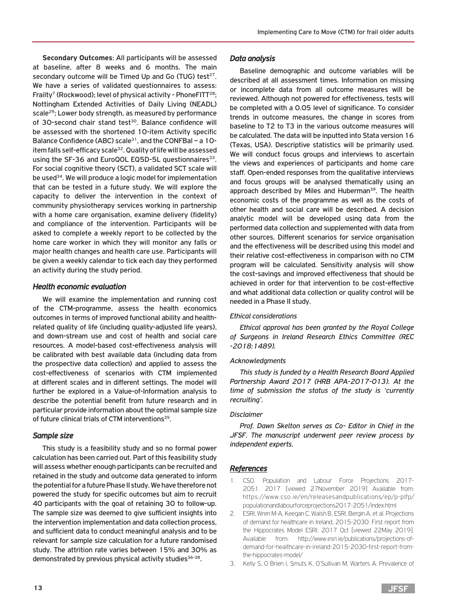**Secondary Outcomes**: All participants will be assessed at baseline, after 8 weeks and 6 months. The main secondary outcome will be Timed Up and Go (TUG) test $27$ . We have a series of validated questionnaires to assess: Frailty<sup>7</sup> (Rockwood); level of physical activity - PhoneFITT<sup>28</sup>; Nottingham Extended Activities of Daily Living (NEADL) scale29; Lower body strength, as measured by performance of 30-second chair stand test<sup>30</sup>. Balance confidence will be assessed with the shortened 10-item Activity specific Balance Confidence (ABC) scale<sup>31</sup>, and the CONFBal – a 10item falls self-efficacy scale<sup>32</sup>. Quality of life will be assessed using the SF-36 and EuroQOL EQ5D-5L questionnaires<sup>33</sup>. For social cognitive theory (SCT), a validated SCT scale will be used<sup>34</sup>. We will produce a logic model for implementation that can be tested in a future study. We will explore the capacity to deliver the intervention in the context of community physiotherapy services working in partnership with a home care organisation, examine delivery (fidelity) and compliance of the intervention. Participants will be asked to complete a weekly report to be collected by the home care worker in which they will monitor any falls or major health changes and health care use. Participants will be given a weekly calendar to tick each day they performed an activity during the study period.

## *Health economic evaluation*

We will examine the implementation and running cost of the CTM-programme, assess the health economics outcomes in terms of improved functional ability and healthrelated quality of life (including quality-adjusted life years), and down-stream use and cost of health and social care resources. A model-based cost-effectiveness analysis will be calibrated with best available data (including data from the prospective data collection) and applied to assess the cost-effectiveness of scenarios with CTM implemented at different scales and in different settings. The model will further be explored in a Value-of-Information analysis to describe the potential benefit from future research and in particular provide information about the optimal sample size of future clinical trials of CTM interventions<sup>35</sup>.

#### *Sample size*

This study is a feasibility study and so no formal power calculation has been carried out. Part of this feasibility study will assess whether enough participants can be recruited and retained in the study and outcome data generated to inform the potential for a future Phase II study. We have therefore not powered the study for specific outcomes but aim to recruit 40 participants with the goal of retaining 30 to follow-up. The sample size was deemed to give sufficient insights into the intervention implementation and data collection process, and sufficient data to conduct meaningful analysis and to be relevant for sample size calculation for a future randomised study. The attrition rate varies between 15% and 30% as demonstrated by previous physical activity studies $36-38$ .

### *Data analysis*

Baseline demographic and outcome variables will be described at all assessment times. Information on missing or incomplete data from all outcome measures will be reviewed. Although not powered for effectiveness, tests will be completed with a 0.05 level of significance. To consider trends in outcome measures, the change in scores from baseline to T2 to T3 in the various outcome measures will be calculated. The data will be inputted into Stata version 16 (Texas, USA). Descriptive statistics will be primarily used. We will conduct focus groups and interviews to ascertain the views and experiences of participants and home care staff. Open-ended responses from the qualitative interviews and focus groups will be analysed thematically using an approach described by Miles and Huberman<sup>39</sup>. The health economic costs of the programme as well as the costs of other health and social care will be described. A decision analytic model will be developed using data from the performed data collection and supplemented with data from other sources. Different scenarios for service organisation and the effectiveness will be described using this model and their relative cost-effectiveness in comparison with no CTM program will be calculated. Sensitivity analysis will show the cost-savings and improved effectiveness that should be achieved in order for that intervention to be cost-effective and what additional data collection or quality control will be needed in a Phase II study.

#### *Ethical considerations*

*Ethical approval has been granted by the Royal College of Surgeons in Ireland Research Ethics Committee (REC -2018:1489).* 

#### *Acknowledgments*

*This study is funded by a Health Research Board Applied Partnership Award 2017 (HRB APA-2017-013). At the time of submission the status of the study is 'currently recruiting'.* 

#### *Disclaimer*

*Prof. Dawn Skelton serves as Co- Editor in Chief in the JFSF. The manuscript underwent peer review process by independent experts.*

# *References*

- 1. CSO. Population and Labour Force Projections 2017- 2051. 2017 [viewed 27November 2019] Available from: https://www.cso.ie/en/releasesandpublications/ep/p-plfp/ populationandlabourforceprojections2017-2051/index.html
- 2. ESRI, Wren M-A, Keegan C, Walsh B, ESRI, Bergin A, et al. Projections of demand for healthcare in Ireland, 2015-2030: First report from the Hippocrates Model ESRI; 2017 Oct [viewed 22May 2019]. Available from: http://www.esri.ie/publications/projections-ofdemand-for-healthcare-in-ireland-2015-2030-first-report-fromthe-hippocrates-model/
- 3. Kelly S, O Brien I, Smuts K, O'Sullivan M, Warters A. Prevalence of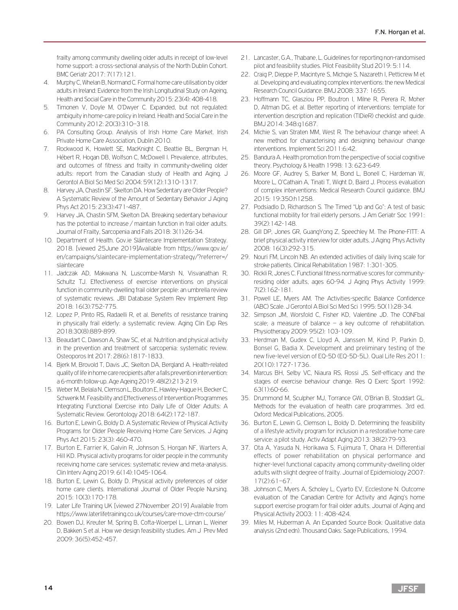frailty among community dwelling older adults in receipt of low-level home support: a cross-sectional analysis of the North Dublin Cohort. BMC Geriatr 2017: 7(17):121.

- 4. Murphy C, Whelan B, Normand C. Formal home care utilisation by older adults in Ireland: Evidence from the Irish Longitudinal Study on Ageing, Health and Social Care in the Community 2015: 23(4): 408-418.
- 5. Timonen V, Doyle M, O'Dwyer C. Expanded, but not regulated: ambiguity in home-care policy in Ireland. Health and Social Care in the Community 2012: 20(3):310–318.
- 6. PA Consulting Group. Analysis of Irish Home Care Market. Irish Private Home Care Association, Dublin 2010.
- 7. Rockwood K, Howlett SE, MacKnight C, Beattie BL, Bergman H, Hébert R, Hogan DB, Wolfson C, McDowell I. Prevalence, attributes, and outcomes of fitness and frailty in community-dwelling older adults: report from the Canadian study of Health and Aging. J Gerontol A Biol Sci Med Sci 2004: 59(12):1310-1317.
- 8. Harvey JA, Chastin SF, Skelton DA. How Sedentary are Older People? A Systematic Review of the Amount of Sedentary Behavior J Aging Phys Act 2015: 23(3):471-487.
- 9. Harvey JA, Chastin SFM, Skelton DA. Breaking sedentary behaviour has the potential to increase / maintain function in frail older adults. Journal of Frailty, Sarcopenia and Falls 2018: 3(1):26-34.
- 10. Department of Health. Gov.ie Sláintecare Implementation Strategy. 2018. [viewed 25June 2019]Available from https://www.gov.ie/ en/campaigns/slaintecare-implementation-strategy/?referrer=/ slaintecare
- 11. Jadczak AD, Makwana N, Luscombe-Marsh N, Visvanathan R, Schultz TJ. Effectiveness of exercise interventions on physical function in community-dwelling frail older people: an umbrella review of systematic reviews. JBI Database System Rev Implement Rep 2018: 16(3):752-775.
- 12. Lopez P, Pinto RS, Radaelli R, et al. Benefits of resistance training in physically frail elderly: a systematic review. Aging Clin Exp Res 2018:30(8):889-899.
- 13. Beaudart C, Dawson A, Shaw SC, et al. Nutrition and physical activity in the prevention and treatment of sarcopenia: systematic review. Osteoporos Int 2017: 28(6):1817-1833.
- 14. Bjerk M, Brovold T, Davis JC, Skelton DA, Bergland A. Health-related quality of life in home care recipients after a falls prevention intervention: a 6-month follow-up. Age Ageing 2019: 48(2):213-219.
- 15. Weber M, Belala N, Clemson L, Boulton E, Hawley-Hague H, Becker C, Schwenk M. Feasibility and Effectiveness of Intervention Programmes Integrating Functional Exercise into Daily Life of Older Adults: A Systematic Review. Gerontology 2018: 64(2):172-187.
- 16. Burton E, Lewin G, Boldy D. A Systematic Review of Physical Activity Programs for Older People Receiving Home Care Services. J Aging Phys Act 2015: 23(3): 460-470.
- 17. Burton E, Farrier K, Galvin R, Johnson S, Horgan NF, Warters A, Hill KD. Physical activity programs for older people in the community receiving home care services: systematic review and meta-analysis. Clin Interv Aging 2019: 6(14):1045-1064.
- 18. Burton E, Lewin G, Boldy D. Physical activity preferences of older home care clients. International Journal of Older People Nursing. 2015: 10(3):170-178.
- 19. Later Life Training UK [viewed 27November 2019] Available from https://www.laterlifetraining.co.uk/courses/care-move-ctm-course/
- 20. Bowen DJ, Kreuter M, Spring B, Cofta-Woerpel L, Linnan L, Weiner D, Bakken S et al. How we design feasibility studies. Am J Prev Med 2009: 36(5):452-457.
- 21. Lancaster, G.A., Thabane, L. Guidelines for reporting non-randomised pilot and feasibility studies. Pilot Feasibility Stud 2019: 5:114.
- 22. Craig P, Dieppe P, Macintyre S, Michgie S, Nazareth I, Petticrew M et al. Developing and evaluating complex interventions: the new Medical Research Council Guidance. BMJ 2008: 337: 1655.
- 23. Hoffmann TC, Glasziou PP, Boutron I, Milne R, Perera R, Moher D, Altman DG, et al. Better reporting of interventions: template for intervention description and replication (TIDieR) checklist and guide. BMJ 2014: 348:g1687.
- 24. Michie S, van Straten MM, West R. The behaviour change wheel: A new method for characterising and designing behaviour change interventions. Implement Sci 2011:6:42.
- 25. Bandura A. Health promotion from the perspective of social cognitive theory. Psychology & Health 1998: 13: 623-649.
- 26. Moore GF, Audrey S, Barker M, Bond L, Bonell C, Hardeman W, Moore L, O'Cathain A, Tinati T, Wight D, Baird J. Process evaluation of complex interventions: Medical Research Council guidance. BMJ 2015: 19:350:h1258.
- 27. Podsiadlo D, Richardson S. The Timed "Up and Go": A test of basic functional mobility for frail elderly persons. J Am Geriatr Soc 1991: 39(2):142-148.
- 28. Gill DP, Jones GR, GuangYong Z, Speechley M. The Phone-FITT: A brief physical activity interview for older adults. J Aging Phys Activity 2008: 16(3):292-315.
- 29. Nouri FM, Lincoln NB. An extended activities of daily living scale for stroke patients. Clinical Rehabilitation 1987: 1:301-305.
- 30. Rickli R, Jones C. Functional fitness normative scores for communityresiding older adults, ages 60-94. J Aging Phys Activity 1999: 7(2):162-181.
- 31. Powell LE, Myers AM. The Activities-specific Balance Confidence (ABC) Scale. J Gerontol A Biol Sci Med Sci 1995: 50(1):28-34.
- 32. Simpson JM, Worsfold C, Fisher KD, Valentine JD. The CONFbal scale; a measure of balance – a key outcome of rehabilitation. Physiotherapy 2009: 95(2): 103-109.
- 33. Herdman M, Gudex C, Lloyd A, Janssen M, Kind P, Parkin D, Bonsel G, Badia X. Development and preliminary testing of the new five-level version of EQ-5D (EQ-5D-5L). Qual Life Res 2011: 20(10):1727-1736.
- 34. Marcus BH, Selby VC, Niaura RS, Rossi JS. Self-efficacy and the stages of exercise behaviour change. Res Q Exerc Sport 1992: 63(1):60-66.
- 35. Drummond M, Sculpher MJ, Torrance GW, O'Brian B, Stoddart GL. Methods for the evaluation of health care programmes. 3rd ed. Oxford: Medical Publications, 2005.
- 36. Burton E, Lewin G, Clemson L, Boldy D. Determining the feasibility of a lifestyle activity program for inclusion in a restorative home care service: a pilot study. Activ Adapt Aging 2013: 38(2):79-93.
- 37. Ota A, Yasuda N, Horikawa S, Fujimura T, Ohara H. Differential effects of power rehabilitation on physical performance and higher-level functional capacity among community-dwelling older adults with slight degree of frailty. Journal of Epidemiology 2007: 17(2):61–67.
- 38. Johnson C, Myers A, Scholey L, Cyarto EV, Ecclestone N. Outcome evaluation of the Canadian Centre for Activity and Aging's home support exercise program for frail older adults. Journal of Aging and Physical Activity 2003: 11: 408-424.
- 39. Miles M, Huberman A. An Expanded Source Book: Qualitative data analysis (2nd edn). Thousand Oaks: Sage Publications, 1994.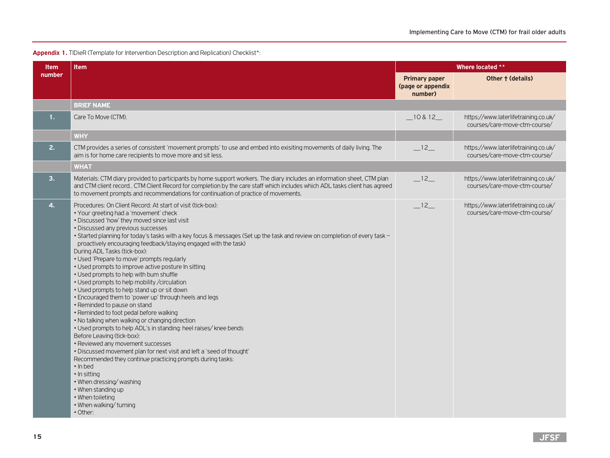#### Appendix 1. TIDieR (Template for Intervention Description and Replication) Checklist\*:

| <b>Item</b>    | <b>Item</b>                                                                                                                                                                                                                                                                                                                                                                                                                                                                                                                                                                                                                                                                                                                                                                                                                                                                                                                                                                                                                                                                                                                                                                                                                                                                                | <b>Where located **</b>                              |                                                                       |
|----------------|--------------------------------------------------------------------------------------------------------------------------------------------------------------------------------------------------------------------------------------------------------------------------------------------------------------------------------------------------------------------------------------------------------------------------------------------------------------------------------------------------------------------------------------------------------------------------------------------------------------------------------------------------------------------------------------------------------------------------------------------------------------------------------------------------------------------------------------------------------------------------------------------------------------------------------------------------------------------------------------------------------------------------------------------------------------------------------------------------------------------------------------------------------------------------------------------------------------------------------------------------------------------------------------------|------------------------------------------------------|-----------------------------------------------------------------------|
| number         |                                                                                                                                                                                                                                                                                                                                                                                                                                                                                                                                                                                                                                                                                                                                                                                                                                                                                                                                                                                                                                                                                                                                                                                                                                                                                            | <b>Primary paper</b><br>(page or appendix<br>number) | Other † (details)                                                     |
|                | <b>BRIEF NAME</b>                                                                                                                                                                                                                                                                                                                                                                                                                                                                                                                                                                                                                                                                                                                                                                                                                                                                                                                                                                                                                                                                                                                                                                                                                                                                          |                                                      |                                                                       |
| 1.             | Care To Move (CTM).                                                                                                                                                                                                                                                                                                                                                                                                                                                                                                                                                                                                                                                                                                                                                                                                                                                                                                                                                                                                                                                                                                                                                                                                                                                                        | $-10812$                                             | https://www.laterlifetraining.co.uk/<br>courses/care-move-ctm-course/ |
|                | <b>WHY</b>                                                                                                                                                                                                                                                                                                                                                                                                                                                                                                                                                                                                                                                                                                                                                                                                                                                                                                                                                                                                                                                                                                                                                                                                                                                                                 |                                                      |                                                                       |
| 2.             | CTM provides a series of consistent 'movement prompts' to use and embed into exisiting movements of daily living. The<br>aim is for home care recipients to move more and sit less.                                                                                                                                                                                                                                                                                                                                                                                                                                                                                                                                                                                                                                                                                                                                                                                                                                                                                                                                                                                                                                                                                                        | $-12$                                                | https://www.laterlifetraining.co.uk/<br>courses/care-move-ctm-course/ |
|                | <b>WHAT</b>                                                                                                                                                                                                                                                                                                                                                                                                                                                                                                                                                                                                                                                                                                                                                                                                                                                                                                                                                                                                                                                                                                                                                                                                                                                                                |                                                      |                                                                       |
| 3.             | Materials: CTM diary provided to participants by home support workers. The diary includes an information sheet, CTM plan<br>and CTM client record CTM Client Record for completion by the care staff which includes which ADL tasks client has agreed<br>to movement prompts and recommendations for continuation of practice of movements.                                                                                                                                                                                                                                                                                                                                                                                                                                                                                                                                                                                                                                                                                                                                                                                                                                                                                                                                                | $-12$                                                | https://www.laterlifetraining.co.uk/<br>courses/care-move-ctm-course/ |
| $\mathbf{4}$ . | Procedures: On Client Record: At start of visit (tick-box):<br>• Your greeting had a 'movement' check<br>• Discussed 'how' they moved since last visit<br>• Discussed any previous successes<br>• Started planning for today's tasks with a key focus & messages (Set up the task and review on completion of every task -<br>proactively encouraging feedback/staying engaged with the task)<br>During ADL Tasks (tick-box):<br>• Used 'Prepare to move' prompts regularly<br>• Used prompts to improve active posture In sitting<br>• Used prompts to help with bum shuffle<br>• Used prompts to help mobility / circulation<br>• Used prompts to help stand up or sit down<br>. Encouraged them to 'power up' through heels and legs<br>• Reminded to pause on stand<br>• Reminded to foot pedal before walking<br>. No talking when walking or changing direction<br>. Used prompts to help ADL's in standing: heel raises/knee bends<br>Before Leaving (tick-box):<br>• Reviewed any movement successes<br>. Discussed movement plan for next visit and left a 'seed of thought'<br>Recommended they continue practicing prompts during tasks:<br>· In bed<br>• In sitting<br>. When dressing/washing<br>• When standing up<br>• When toileting<br>. When walking/turning<br>• Other: | $-12$                                                | https://www.laterlifetraining.co.uk/<br>courses/care-move-ctm-course/ |